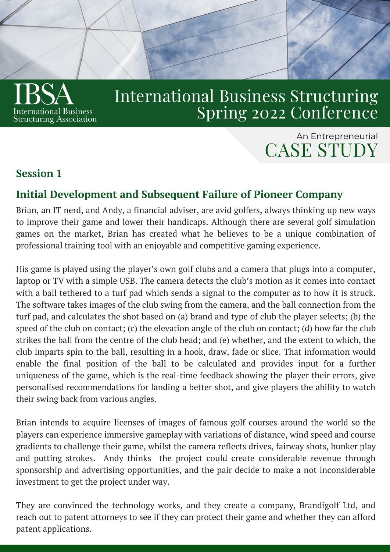

# International Business Structuring Spring 2022 Conference

# CASE STUDY An Entrepreneurial

### **Session 1**

# **Initial Development and Subsequent Failure of Pioneer Company**

Brian, an IT nerd, and Andy, a financial adviser, are avid golfers, always thinking up new ways to improve their game and lower their handicaps. Although there are several golf simulation games on the market, Brian has created what he believes to be a unique combination of professional training tool with an enjoyable and competitive gaming experience.

His game is played using the player's own golf clubs and a camera that plugs into a computer, laptop or TV with a simple USB. The camera detects the club's motion as it comes into contact with a ball tethered to a turf pad which sends a signal to the computer as to how it is struck. The software takes images of the club swing from the camera, and the ball connection from the turf pad, and calculates the shot based on (a) brand and type of club the player selects; (b) the speed of the club on contact; (c) the elevation angle of the club on contact; (d) how far the club strikes the ball from the centre of the club head; and (e) whether, and the extent to which, the club imparts spin to the ball, resulting in a hook, draw, fade or slice. That information would enable the final position of the ball to be calculated and provides input for a further uniqueness of the game, which is the real-time feedback showing the player their errors, give personalised recommendations for landing a better shot, and give players the ability to watch their swing back from various angles.

Brian intends to acquire licenses of images of famous golf courses around the world so the players can experience immersive gameplay with variations of distance, wind speed and course gradients to challenge their game, whilst the camera reflects drives, fairway shots, bunker play and putting strokes. Andy thinks the project could create considerable revenue through sponsorship and advertising opportunities, and the pair decide to make a not inconsiderable investment to get the project under way.

They are convinced the technology works, and they create a company, Brandigolf Ltd, and reach out to patent attorneys to see if they can protect their game and whether they can afford patent applications.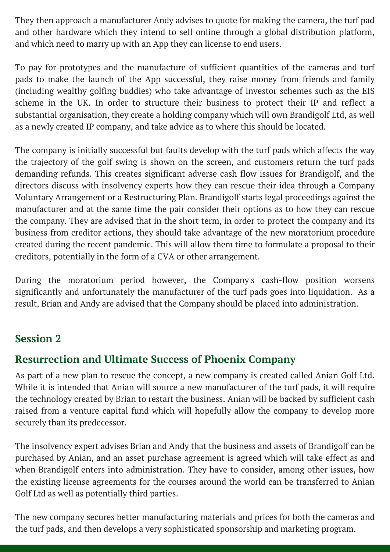They then approach a manufacturer Andy advises to quote for making the camera, the turf pad and other hardware which they intend to sell online through a global distribution platform, and which need to marry up with an App they can license to end users.

To pay for prototypes and the manufacture of sufficient quantities of the cameras and turf pads to make the launch of the App successful, they raise money from friends and family (including wealthy golfing buddies) who take advantage of investor schemes such as the EIS scheme in the UK. In order to structure their business to protect their IP and reflect a substantial organisation, they create a holding company which will own Brandigolf Ltd, as well as a newly created IP company, and take advice as to where this should be located.

The company is initially successful but faults develop with the turf pads which affects the way the trajectory of the golf swing is shown on the screen, and customers return the turf pads demanding refunds. This creates significant adverse cash flow issues for Brandigolf, and the directors discuss with insolvency experts how they can rescue their idea through a Company Voluntary Arrangement or a Restructuring Plan. Brandigolf starts legal proceedings against the manufacturer and at the same time the pair consider their options as to how they can rescue the company. They are advised that in the short term, in order to protect the company and its business from creditor actions, they should take advantage of the new moratorium procedure created during the recent pandemic. This will allow them time to formulate a proposal to their creditors, potentially in the form of a CVA or other arrangement.

During the moratorium period however, the Company's cash-flow position worsens significantly and unfortunately the manufacturer of the turf pads goes into liquidation. As a result, Brian and Andy are advised that the Company should be placed into administration.

#### **Session 2**

#### **Resurrection and Ultimate Success of Phoenix Company**

As part of a new plan to rescue the concept, a new company is created called Anian Golf Ltd. While it is intended that Anian will source a new manufacturer of the turf pads, it will require the technology created by Brian to restart the business. Anian will be backed by sufficient cash raised from a venture capital fund which will hopefully allow the company to develop more securely than its predecessor.

The insolvency expert advises Brian and Andy that the business and assets of Brandigolf can be purchased by Anian, and an asset purchase agreement is agreed which will take effect as and when Brandigolf enters into administration. They have to consider, among other issues, how the existing license agreements for the courses around the world can be transferred to Anian Golf Ltd as well as potentially third parties.

The new company secures better manufacturing materials and prices for both the cameras and the turf pads, and then develops a very sophisticated sponsorship and marketing program.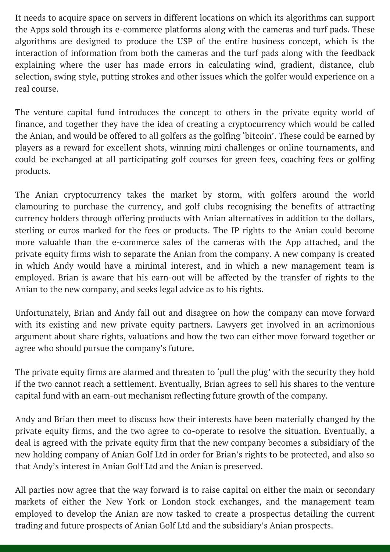It needs to acquire space on servers in different locations on which its algorithms can support the Apps sold through its e-commerce platforms along with the cameras and turf pads. These algorithms are designed to produce the USP of the entire business concept, which is the interaction of information from both the cameras and the turf pads along with the feedback explaining where the user has made errors in calculating wind, gradient, distance, club selection, swing style, putting strokes and other issues which the golfer would experience on a real course.

The venture capital fund introduces the concept to others in the private equity world of finance, and together they have the idea of creating a cryptocurrency which would be called the Anian, and would be offered to all golfers as the golfing 'bitcoin'. These could be earned by players as a reward for excellent shots, winning mini challenges or online tournaments, and could be exchanged at all participating golf courses for green fees, coaching fees or golfing products.

The Anian cryptocurrency takes the market by storm, with golfers around the world clamouring to purchase the currency, and golf clubs recognising the benefits of attracting currency holders through offering products with Anian alternatives in addition to the dollars, sterling or euros marked for the fees or products. The IP rights to the Anian could become more valuable than the e-commerce sales of the cameras with the App attached, and the private equity firms wish to separate the Anian from the company. A new company is created in which Andy would have a minimal interest, and in which a new management team is employed. Brian is aware that his earn-out will be affected by the transfer of rights to the Anian to the new company, and seeks legal advice as to his rights.

Unfortunately, Brian and Andy fall out and disagree on how the company can move forward with its existing and new private equity partners. Lawyers get involved in an acrimonious argument about share rights, valuations and how the two can either move forward together or agree who should pursue the company's future.

The private equity firms are alarmed and threaten to 'pull the plug' with the security they hold if the two cannot reach a settlement. Eventually, Brian agrees to sell his shares to the venture capital fund with an earn-out mechanism reflecting future growth of the company.

Andy and Brian then meet to discuss how their interests have been materially changed by the private equity firms, and the two agree to co-operate to resolve the situation. Eventually, a deal is agreed with the private equity firm that the new company becomes a subsidiary of the new holding company of Anian Golf Ltd in order for Brian's rights to be protected, and also so that Andy's interest in Anian Golf Ltd and the Anian is preserved.

All parties now agree that the way forward is to raise capital on either the main or secondary markets of either the New York or London stock exchanges, and the management team employed to develop the Anian are now tasked to create a prospectus detailing the current trading and future prospects of Anian Golf Ltd and the subsidiary's Anian prospects.